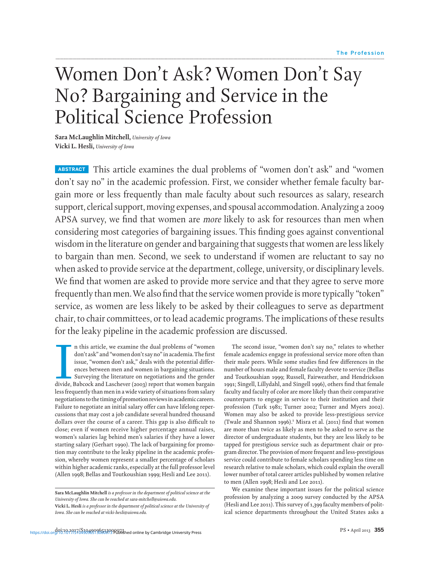# Women Don't Ask? Women Don't Say No? Bargaining and Service in the Political Science Profession

**Sara McLaughlin Mitchell,** *University of Iowa* **Vicki L. Hesli,** *University of Iowa*

**ABSTRACT** This article examines the dual problems of "women don't ask" and "women don't say no" in the academic profession. First, we consider whether female faculty bargain more or less frequently than male faculty about such resources as salary, research support, clerical support, moving expenses, and spousal accommodation. Analyzing a 2009 APSA survey, we find that women are *more* likely to ask for resources than men when considering most categories of bargaining issues. This finding goes against conventional wisdom in the literature on gender and bargaining that suggests that women are less likely to bargain than men. Second, we seek to understand if women are reluctant to say no when asked to provide service at the department, college, university, or disciplinary levels. We find that women are asked to provide more service and that they agree to serve more frequently than men.We also find that the service women provide is more typically "token" service, as women are less likely to be asked by their colleagues to serve as department chair, to chair committees, or to lead academic programs. The implications of these results for the leaky pipeline in the academic profession are discussed.

In this article, we examine the dual problems of "women<br>don't ask" and "women don't say no" in academia. The first<br>issue, "women don't ask," deals with the potential differ-<br>ences between men and women in bargaining situat n this article, we examine the dual problems of "women don't ask" and "women don't say no"in academia.The first issue, "women don't ask," deals with the potential differences between men and women in bargaining situations. Surveying the literature on negotiations and the gender less frequently than men in a wide variety of situations from salary negotiations to the timing of promotion reviews in academic careers. Failure to negotiate an initial salary offer can have lifelong repercussions that may cost a job candidate several hundred thousand dollars over the course of a career. This gap is also difficult to close; even if women receive higher percentage annual raises, women's salaries lag behind men's salaries if they have a lower starting salary (Gerhart 1990). The lack of bargaining for promotion may contribute to the leaky pipeline in the academic profession, whereby women represent a smaller percentage of scholars within higher academic ranks, especially at the full professor level (Allen 1998; Bellas and Toutkoushian 1999; Hesli and Lee 2011).

The second issue, "women don't say no," relates to whether female academics engage in professional service more often than their male peers. While some studies find few differences in the number of hours male and female faculty devote to service (Bellas and Toutkoushian 1999; Russell, Fairweather, and Hendrickson 1991; Singell, Lillydahl, and Singell 1996), others find that female faculty and faculty of color are more likely than their comparative counterparts to engage in service to their institution and their profession (Turk 1981; Turner 2002; Turner and Myers 2002). Women may also be asked to provide less-prestigious service (Twale and Shannon 1996).<sup>1</sup> Misra et al. (2011) find that women are more than twice as likely as men to be asked to serve as the director of undergraduate students, but they are less likely to be tapped for prestigious service such as department chair or program director.The provision of more frequent and less-prestigious service could contribute to female scholars spending less time on research relative to male scholars, which could explain the overall lower number of total career articles published by women relative to men (Allen 1998; Hesli and Lee 2011).

We examine these important issues for the political science profession by analyzing a 2009 survey conducted by the APSA (Hesli and Lee 2011). This survey of 1,399 faculty members of political science departments throughout the United States asks a

**Sara McLaughlin Mitchell** *is a professor in the department of political science at the University of Iowa. She can be reached at sara-mitchell@uiowa.edu.* **Vicki L. Hesli** *is a professor in the department of political science at the University of Iowa. She can be reached at vicki-hesli@uiowa.edu.*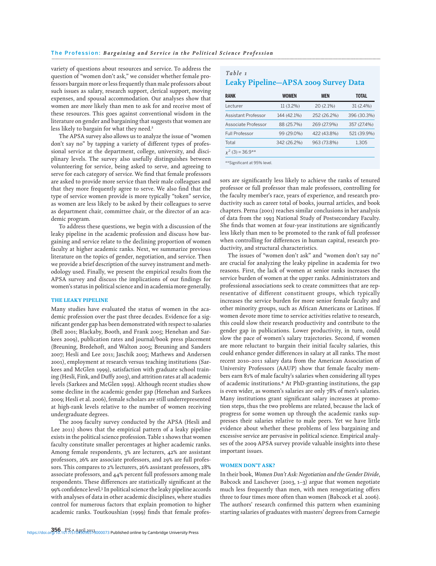variety of questions about resources and service. To address the question of "women don't ask," we consider whether female professors bargain more or less frequently than male professors about such issues as salary, research support, clerical support, moving expenses, and spousal accommodation. Our analyses show that women are *more* likely than men to ask for and receive most of these resources. This goes against conventional wisdom in the literature on gender and bargaining that suggests that women are less likely to bargain for what they need.<sup>2</sup>

The APSA survey also allows us to analyze the issue of "women don't say no" by tapping a variety of different types of professional service at the department, college, university, and disciplinary levels. The survey also usefully distinguishes between volunteering for service, being asked to serve, and agreeing to serve for each category of service. We find that female professors are asked to provide more service than their male colleagues and that they more frequently agree to serve. We also find that the type of service women provide is more typically "token" service, as women are less likely to be asked by their colleagues to serve as department chair, committee chair, or the director of an academic program.

To address these questions, we begin with a discussion of the leaky pipeline in the academic profession and discuss how bargaining and service relate to the declining proportion of women faculty at higher academic ranks. Next, we summarize previous literature on the topics of gender, negotiation, and service. Then we provide a brief description of the survey instrument and methodology used. Finally, we present the empirical results from the APSA survey and discuss the implications of our findings for women's status in political science and in academia more generally.

#### THE LEAKY PIPELINE

Many studies have evaluated the status of women in the academic profession over the past three decades. Evidence for a significant gender gap has been demonstrated with respect to salaries (Bell 2001; Blackaby, Booth, and Frank 2005; Henehan and Sarkees 2009), publication rates and journal/book press placement (Breuning, Bredehoft, and Walton 2005; Breuning and Sanders 2007; Hesli and Lee 2011; Jaschik 2005; Mathews and Andersen 2001), employment at research versus teaching institutions (Sarkees and McGlen 1999), satisfaction with graduate school training (Hesli, Fink, and Duffy 2003), and attrition rates at all academic levels (Sarkees and McGlen 1999). Although recent studies show some decline in the academic gender gap (Henehan and Sarkees 2009; Hesli et al. 2006), female scholars are still underrepresented at high-rank levels relative to the number of women receiving undergraduate degrees.

The 2009 faculty survey conducted by the APSA (Hesli and Lee 2011) shows that the empirical pattern of a leaky pipeline exists in the political science profession.Table 1 shows that women faculty constitute smaller percentages at higher academic ranks. Among female respondents, 3% are lecturers, 42% are assistant professors, 26% are associate professors, and 29% are full professors. This compares to 2% lecturers, 26% assistant professors, 28% associate professors, and 44% percent full professors among male respondents. These differences are statistically significant at the 99% confidence level.3 In political science the leaky pipeline accords with analyses of data in other academic disciplines, where studies control for numerous factors that explain promotion to higher academic ranks. Toutkoushian (1999) finds that female profes-

# *Table 1* **Leaky Pipeline—APSA 2009 Survey Data**

| <b>RANK</b>           | WOMEN       | <b>MEN</b>  | <b>TOTAL</b> |
|-----------------------|-------------|-------------|--------------|
| Lecturer              | $11(3.2\%)$ | 20 (2.1%)   | $31(2.4\%)$  |
| Assistant Professor   | 144 (42.1%) | 252 (26.2%) | 396 (30.3%)  |
| Associate Professor   | 88 (25.7%)  | 269 (27.9%) | 357 (27.4%)  |
| <b>Full Professor</b> | 99 (29.0%)  | 422 (43.8%) | 521 (39.9%)  |
| Total                 | 342 (26.2%) | 963 (73.8%) | 1.305        |
| $x^2$ (3) = 36.9**    |             |             |              |
|                       |             |             |              |

\*\*Significant at 95% level.

sors are significantly less likely to achieve the ranks of tenured professor or full professor than male professors, controlling for the faculty member's race, years of experience, and research productivity such as career total of books, journal articles, and book chapters. Perna (2001) reaches similar conclusions in her analysis of data from the 1993 National Study of Postsecondary Faculty. She finds that women at four-year institutions are significantly less likely than men to be promoted to the rank of full professor when controlling for differences in human capital, research productivity, and structural characteristics.

The issues of "women don't ask" and "women don't say no" are crucial for analyzing the leaky pipeline in academia for two reasons. First, the lack of women at senior ranks increases the service burden of women at the upper ranks. Administrators and professional associations seek to create committees that are representative of different constituent groups, which typically increases the service burden for more senior female faculty and other minority groups, such as African Americans or Latinos. If women devote more time to service activities relative to research, this could slow their research productivity and contribute to the gender gap in publications. Lower productivity, in turn, could slow the pace of women's salary trajectories. Second, if women are more reluctant to bargain their initial faculty salaries, this could enhance gender differences in salary at all ranks. The most recent 2010–2011 salary data from the American Association of University Professors (AAUP) show that female faculty members earn 81% of male faculty's salaries when considering all types of academic institutions.4 At PhD-granting institutions, the gap is even wider, as women's salaries are only 78% of men's salaries. Many institutions grant significant salary increases at promotion steps, thus the two problems are related, because the lack of progress for some women up through the academic ranks suppresses their salaries relative to male peers. Yet we have little evidence about whether these problems of less bargaining and excessive service are pervasive in political science. Empirical analyses of the 2009 APSA survey provide valuable insights into these important issues.

#### WOMEN DON'T ASK?

In their book, *Women Don't Ask: Negotiation and the Gender Divide*, Babcock and Laschever (2003, 1–3) argue that women negotiate much less frequently than men, with men renegotiating offers three to four times more often than women (Babcock et al. 2006). The authors' research confirmed this pattern when examining starting salaries of graduates with masters' degrees from Carnegie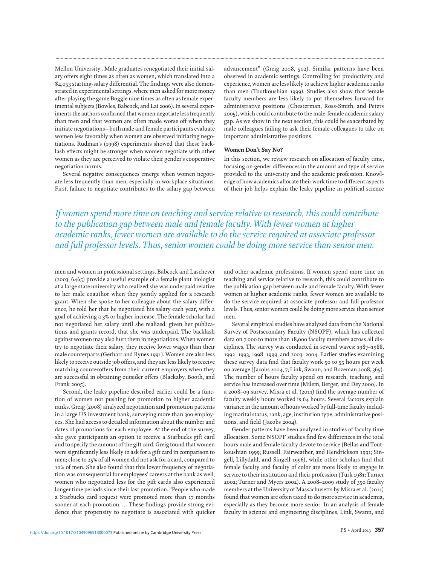Mellon University . Male graduates renegotiated their initial salary offers eight times as often as women, which translated into a \$4,053 starting-salary differential. The findings were also demonstrated in experimental settings, where men asked for more money after playing the game Boggle nine times as often as female experimental subjects (Bowles, Babcock, and Lai 2006). In several experiments the authors confirmed that women negotiate less frequently than men and that women are often made worse off when they initiate negotiations—both male and female participants evaluate women less favorably when women are observed initiating negotiations. Rudman's (1998) experiments showed that these backlash effects might be stronger when women negotiate with other women as they are perceived to violate their gender's cooperative negotiation norms.

Several negative consequences emerge when women negotiate less frequently than men, especially in workplace situations. First, failure to negotiate contributes to the salary gap between advancement" (Greig 2008, 502). Similar patterns have been observed in academic settings. Controlling for productivity and experience, women are less likely to achieve higher academic ranks than men (Toutkoushian 1999). Studies also show that female faculty members are less likely to put themselves forward for administrative positions (Chesterman, Ross-Smith, and Peters 2005), which could contribute to the male-female academic salary gap. As we show in the next section, this could be exacerbated by male colleagues failing to ask their female colleagues to take on important administrative positions.

#### Women Don't Say No?

In this section, we review research on allocation of faculty time, focusing on gender differences in the amount and type of service provided to the university and the academic profession. Knowledge of how academics allocate their work time to different aspects of their job helps explain the leaky pipeline in political science

*If women spend more time on teaching and service relative to research, this could contribute to the publication gap between male and female faculty.With fewer women at higher academic ranks, fewer women are available to do the service required at associate professor and full professor levels. Thus, senior women could be doing more service than senior men.*

**.............................................................................................................................................................................................................................................................**

men and women in professional settings. Babcock and Laschever (2003, 6465) provide a useful example of a female plant biologist at a large state university who realized she was underpaid relative to her male coauthor when they jointly applied for a research grant. When she spoke to her colleague about the salary difference, he told her that he negotiated his salary each year, with a goal of achieving a 3% or higher increase. The female scholar had not negotiated her salary until she realized, given her publications and grants record, that she was underpaid. The backlash against women may also hurt them in negotiations.When women try to negotiate their salary, they receive lower wages than their male counterparts (Gerhart and Rynes 1991).Women are also less likely to receive outside job offers, and they are less likely to receive matching counteroffers from their current employers when they are successful in obtaining outsider offers (Blackaby, Booth, and Frank 2005).

Second, the leaky pipeline described earlier could be a function of women not pushing for promotion to higher academic ranks. Greig (2008) analyzed negotiation and promotion patterns in a large US investment bank, surveying more than 300 employees. She had access to detailed information about the number and dates of promotions for each employee. At the end of the survey, she gave participants an option to receive a Starbucks gift card and to specify the amount of the gift card. Greig found that women were significantly less likely to ask for a gift card in comparison to men; close to 25% of all women did not ask for a card, compared to 10% of men. She also found that this lower frequency of negotiation was consequential for employees' careers at the bank as well; women who negotiated less for the gift cards also experienced longer time periods since their last promotion. "People who made a Starbucks card request were promoted more than 17 months sooner at each promotion.... These findings provide strong evidence that propensity to negotiate is associated with quicker

and other academic professions. If women spend more time on teaching and service relative to research, this could contribute to the publication gap between male and female faculty. With fewer women at higher academic ranks, fewer women are available to do the service required at associate professor and full professor levels.Thus, senior women could be doing more service than senior men.

Several empirical studies have analyzed data from the National Survey of Postsecondary Faculty (NSOPF), which has collected data on 7,000 to more than 18,000 faculty members across all disciplines. The survey was conducted in several waves: 1987–1988, 1992–1993, 1998–1999, and 2003–2004. Earlier studies examining these survey data find that faculty work 50 to 55 hours per week on average (Jacobs 2004, 7; Link, Swann, and Bozeman 2008, 365). The number of hours faculty spend on research, teaching, and service has increased over time (Milem, Berger, and Dey 2000). In a 2008–09 survey, Misra et al. (2011) find the average number of faculty weekly hours worked is 64 hours. Several factors explain variance in the amount of hours worked by full-time faculty including marital status, rank, age, institution type, administrative positions, and field (Jacobs 2004).

Gender patterns have been analyzed in studies of faculty time allocation. Some NSOPF studies find few differences in the total hours male and female faculty devote to service (Bellas and Toutkoushian 1999; Russell, Fairweather, and Hendrickson 1991; Singell, Lillydahl, and Singell 1996), while other scholars find that female faculty and faculty of color are more likely to engage in service to their institution and their profession (Turk 1981; Turner 2002; Turner and Myers 2002). A 2008–2009 study of 350 faculty members at the University of Massachusetts by Misra et al. (2011) found that women are often taxed to do more service in academia, especially as they become more senior. In an analysis of female faculty in science and engineering disciplines, Link, Swann, and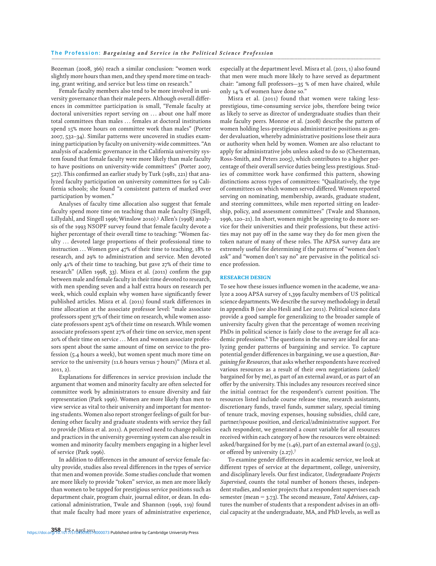Bozeman (2008, 366) reach a similar conclusion: "women work slightly more hours than men, and they spend more time on teaching, grant writing, and service but less time on research."

Female faculty members also tend to be more involved in university governance than their male peers. Although overall differences in committee participation is small, "Female faculty at doctoral universities report serving on . . . about one half more total committees than males ... females at doctoral institutions spend 15% more hours on committee work than males" (Porter 2007, 532–34). Similar patterns were uncovered in studies examining participation by faculty on university-wide committees. "An analysis of academic governance in the California university system found that female faculty were more likely than male faculty to have positions on university-wide committees" (Porter 2007, 527). This confirmed an earlier study by Turk (1981, 221) that analyzed faculty participation on university committees for 19 California schools; she found "a consistent pattern of marked over participation by women."

Analyses of faculty time allocation also suggest that female faculty spend more time on teaching than male faculty (Singell, Lillydahl, and Singell 1996; Winslow 2010).5 Allen's (1998) analysis of the 1993 NSOPF survey found that female faculty devote a higher percentage of their overall time to teaching: "Women faculty ... devoted large proportions of their professional time to instruction ... Women gave 47% of their time to teaching, 18% to research, and 29% to administration and service. Men devoted only 41% of their time to teaching, but gave 27% of their time to research" (Allen 1998, 33). Misra et al. (2011) confirm the gap between male and female faculty in their time devoted to research, with men spending seven and a half extra hours on research per week, which could explain why women have significantly fewer published articles. Misra et al. (2011) found stark differences in time allocation at the associate professor level: "male associate professors spent 37% of their time on research, while women associate professors spent 25% of their time on research.While women associate professors spent 27% of their time on service, men spent 20% of their time on service . . . Men and women associate professors spent about the same amount of time on service to the profession (5.4 hours a week), but women spent much more time on service to the university (11.6 hours versus 7 hours)" (Misra et al. 2011, 2).

Explanations for differences in service provision include the argument that women and minority faculty are often selected for committee work by administrators to ensure diversity and fair representation (Park 1996). Women are more likely than men to view service as vital to their university and important for mentoring students.Women also report stronger feelings of guilt for burdening other faculty and graduate students with service they fail to provide (Misra et al. 2011). A perceived need to change policies and practices in the university governing system can also result in women and minority faculty members engaging in a higher level of service (Park 1996).

In addition to differences in the amount of service female faculty provide, studies also reveal differences in the types of service that men and women provide. Some studies conclude that women are more likely to provide "token" service, as men are more likely than women to be tapped for prestigious service positions such as department chair, program chair, journal editor, or dean. In educational administration, Twale and Shannon (1996, 119) found that male faculty had more years of administrative experience,

especially at the department level. Misra et al. (2011, 1) also found that men were much more likely to have served as department chair: "among full professors—35 % of men have chaired, while only 14 % of women have done so."

Misra et al. (2011) found that women were taking lessprestigious, time-consuming service jobs, therefore being twice as likely to serve as director of undergraduate studies than their male faculty peers. Monroe et al. (2008) describe the pattern of women holding less-prestigious administrative positions as gender devaluation, whereby administrative positions lose their aura or authority when held by women. Women are also reluctant to apply for administrative jobs unless asked to do so (Chesterman, Ross-Smith, and Peters 2005), which contributes to a higher percentage of their overall service duties being less prestigious. Studies of committee work have confirmed this pattern, showing distinctions across types of committees: "Qualitatively, the type of committees on which women served differed.Women reported serving on nominating, membership, awards, graduate student, and steering committees, while men reported sitting on leadership, policy, and assessment committees" (Twale and Shannon, 1996, 120–21). In short, women might be agreeing to do more service for their universities and their professions, but these activities may not pay off in the same way they do for men given the token nature of many of these roles. The APSA survey data are extremely useful for determining if the patterns of "women don't ask" and "women don't say no" are pervasive in the political science profession.

#### RESEARCH DESIGN

To see how these issues influence women in the academe, we analyze a 2009 APSA survey of 1,399 faculty members of US political science departments.We describe the survey methodology in detail in appendix B (see also Hesli and Lee 2011). Political science data provide a good sample for generalizing to the broader sample of university faculty given that the percentage of women receiving PhDs in political science is fairly close to the average for all academic professions.6 The questions in the survey are ideal for analyzing gender patterns of bargaining and service. To capture potential gender differences in bargaining, we use a question, *Bargaining for Resources*, that asks whether respondents have received various resources as a result of their own negotiations (asked/ bargained for by me), as part of an external award, or as part of an offer by the university. This includes any resources received since the initial contract for the respondent's current position. The resources listed include course release time, research assistants, discretionary funds, travel funds, summer salary, special timing of tenure track, moving expenses, housing subsidies, child care, partner/spouse position, and clerical/administrative support. For each respondent, we generated a count variable for all resources received within each category of how the resources were obtained: asked/bargained for by me (1.46), part of an external award (0.53), or offered by university (2.27).7

To examine gender differences in academic service, we look at different types of service at the department, college, university, and disciplinary levels. Our first indicator, *Undergraduate Projects Supervised*, counts the total number of honors theses, independent studies, and senior projects that a respondent supervises each semester (mean = 3.73). The second measure, *Total Advisees*, captures the number of students that a respondent advises in an official capacity at the undergraduate, MA, and PhD levels, as well as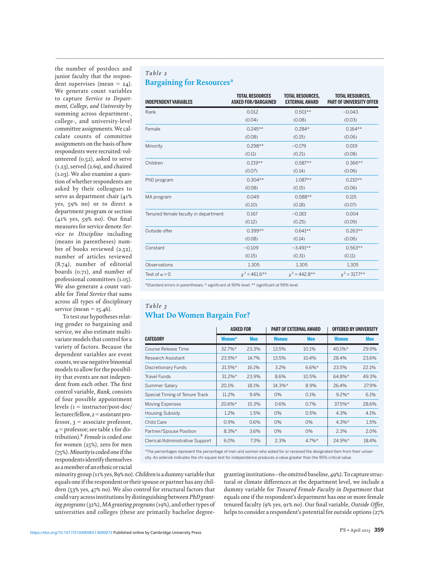the number of postdocs and junior faculty that the respondent supervises (mean  $= 24$ ). We generate count variables to capture *Service to Department, College, and University* by summing across department-, college-, and university-level committee assignments.We calculate counts of committee assignments on the basis of how respondents were recruited: volunteered (0.52), asked to serve (1.23), served (2.69), and chaired (1.03). We also examine a question of whether respondents are asked by their colleagues to serve as department chair (41% yes, 59% no) or to direct a department program or section (41% yes, 59% no). Our final measures for service denote *Service to Discipline* including (means in parentheses) number of books reviewed (2.52), number of articles reviewed (8.74), number of editorial boards (0.71), and number of professional committees (1.05). We also generate a count variable for *Total Service* that sums across all types of disciplinary service (mean  $=$  15.46).

To test our hypotheses relating gender to bargaining and service, we also estimate multivariate models that control for a variety of factors. Because the dependent variables are event counts, we use negative binomial models to allow for the possibility that events are not independent from each other. The first control variable, *Rank*, consists of four possible appointment levels (1 = instructor/post-doc/ lecturer/fellow, 2 = assistant pro $fessor, 3 = associative professor,$ 4-professor; see table 1 for distribution).8 *Female* is coded one for women (25%), zero for men (75%).*Minority*is coded oneif the respondentsidentify themselves asamember ofanethnic or racial

# *Table 2* **Bargaining for Resources<sup>a</sup>**

**.............................................................................................................................................................................................................................................................**

| <b>INDEPENDENT VARIABLES</b>         | <b>TOTAL RESOURCES</b><br><b>ASKED FOR/BARGAINED</b> | <b>TOTAL RESOURCES,</b><br><b>EXTERNAL AWARD</b> | <b>TOTAL RESOURCES,</b><br><b>PART OF UNIVERSITY OFFER</b> |
|--------------------------------------|------------------------------------------------------|--------------------------------------------------|------------------------------------------------------------|
| Rank                                 | 0.012                                                | $0.501**$                                        | $-0.043$                                                   |
|                                      | (0.04)                                               | (0.08)                                           | (0.03)                                                     |
| Female                               | $0.245**$                                            | $0.284*$                                         | $0.164**$                                                  |
|                                      | (0.08)                                               | (0.15)                                           | (0.06)                                                     |
| Minority                             | $0.298**$                                            | $-0.179$                                         | 0.019                                                      |
|                                      | (0.11)                                               | (0.21)                                           | (0.08)                                                     |
| Children                             | $0.219**$                                            | $0.587**$                                        | $0.366**$                                                  |
|                                      | (0.07)                                               | (0.14)                                           | (0.06)                                                     |
| PhD program                          | $0.304**$                                            | $1.087**$                                        | $0.210**$                                                  |
|                                      | (0.08)                                               | (0.15)                                           | (0.06)                                                     |
| MA program                           | 0.049                                                | $0.588**$                                        | 0.115                                                      |
|                                      | (0.10)                                               | (0.18)                                           | (0.07)                                                     |
| Tenured female faculty in department | 0.167                                                | $-0.183$                                         | 0.004                                                      |
|                                      | (0.12)                                               | (0.25)                                           | (0.09)                                                     |
| Outside offer                        | $0.399**$                                            | $0.641**$                                        | $0.263**$                                                  |
|                                      | (0.08)                                               | (0.14)                                           | (0.06)                                                     |
| Constant                             | $-0.109$                                             | $-3.491**$                                       | $0.563**$                                                  |
|                                      | (0.15)                                               | (0.31)                                           | (0.11)                                                     |
| Observations                         | 1.305                                                | 1,305                                            | 1,305                                                      |
| Test of $\alpha = 0$                 | $x^2$ = 461.6**                                      | $x^2$ = 442.8**                                  | $x^2 = 317.7**$                                            |

<sup>a</sup>Standard errors in parentheses; \* significant at 90% level; \*\* significant at 95% level.

## *Table 3* **What Do Women Bargain For?**

| <b>ASKED FOR</b>                |                          |            | <b>PART OF EXTERNAL AWARD</b> | <b>OFFERED BY UNIVERSITY</b> |              |            |
|---------------------------------|--------------------------|------------|-------------------------------|------------------------------|--------------|------------|
| CATEGORY                        | <b>Women<sup>a</sup></b> | <b>Men</b> | <b>Women</b>                  | <b>Men</b>                   | <b>Women</b> | <b>Men</b> |
| Course Release Time             | 32.7%*                   | 23.3%      | 13.5%                         | 10.1%                        | 40.1%*       | 29.9%      |
| Research Assistant              | 23.5%*                   | 14.7%      | 13.5%                         | 10.4%                        | 28.4%        | 23.6%      |
| Discretionary Funds             | $21.5\%*$                | 16.1%      | 3.2%                          | $6.6\%*$                     | 23.5%        | 22.1%      |
| <b>Travel Funds</b>             | $31.2\%$ *               | 23.9%      | 8.6%                          | 10.5%                        | 64.8%*       | 49.3%      |
| Summer Salary                   | 20.1%                    | 18.1%      | 14.3%*                        | 8.9%                         | 26.4%        | 27.9%      |
| Special Timing of Tenure Track  | 11.2%                    | 9.4%       | 0%                            | 0.1%                         | $9.2\%$ *    | 6.1%       |
| Moving Expenses                 | 20.6%*                   | 15.3%      | 0.6%                          | 0.7%                         | 37.5%*       | 28.6%      |
| <b>Housing Subsidy</b>          | 1.2%                     | 1.5%       | 0%                            | 0.5%                         | 4.3%         | 4.1%       |
| Child Care                      | 0.9%                     | 0.6%       | 0%                            | 0%                           | $4.3\%*$     | 1.5%       |
| Partner/Spouse Position         | $8.3\%*$                 | 3.6%       | 0%                            | 0%                           | 2.3%         | 2.0%       |
| Clerical/Administrative Support | 6.0%                     | 7.3%       | 2.3%                          | $4.7\%*$                     | $24.9\%*$    | 18.4%      |

aThe percentages represent the percentage of men and women who asked for or received the designated item from their university. An asterisk indicates the chi-square test for independence produces a value greater than the 95% critical value.

minority group (11% yes, 89% no).*Children*is a dummy variable that equals oneif the respondent or their spouse or partner has any children (53% yes, 47% no). We also control for structural factors that could vary across institutions by distinguishing between *PhD granting programs*(32%), *MA granting programs*(19%), and other types of universities and colleges (these are primarily bachelor degree-

grantinginstitutions—the omitted baseline, 49%).To capture structural or climate differences at the department level, we include a dummy variable for *Tenured Female Faculty in Department* that equals one if the respondent's department has one or more female tenured faculty (9% yes, 91% no). Our final variable, *Outside Offer*, helps to consider a respondent's potential for outside options (27%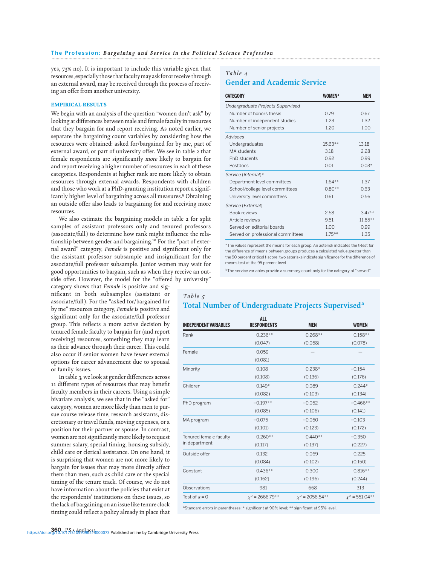yes, 73% no). It is important to include this variable given that resources, especially those that faculty may ask for or receive through an external award, may be received through the process of receiving an offer from another university.

#### EMPIRICAL RESULTS

We begin with an analysis of the question "women don't ask" by looking at differences between male and female faculty in resources that they bargain for and report receiving. As noted earlier, we separate the bargaining count variables by considering how the resources were obtained: asked for/bargained for by me, part of external award, or part of university offer. We see in table 2 that female respondents are significantly *more* likely to bargain for and report receiving a higher number of resources in each of these categories. Respondents at higher rank are more likely to obtain resources through external awards. Respondents with children and those who work at a PhD-granting institution report a significantly higher level of bargaining across all measures.<sup>9</sup> Obtaining an outside offer also leads to bargaining for and receiving more resources.

We also estimate the bargaining models in table 2 for split samples of assistant professors only and tenured professors (associate/full) to determine how rank might influence the relationship between gender and bargaining.<sup>10</sup> For the "part of external award" category, *Female* is positive and significant only for the assistant professor subsample and insignificant for the associate/full professor subsample. Junior women may wait for good opportunities to bargain, such as when they receive an outside offer. However, the model for the "offered by university"

category shows that *Female* is positive and significant in both subsamples (assistant or associate/full). For the "asked for/bargained for by me" resources category, *Female* is positive and significant only for the associate/full professor group. This reflects a more active decision by tenured female faculty to bargain for (and report receiving) resources, something they may learn as their advance through their career. This could also occur if senior women have fewer external options for career advancement due to spousal or family issues.

In table 3, we look at gender differences across 11 different types of resources that may benefit faculty members in their careers. Using a simple bivariate analysis, we see that in the "asked for" category, women are more likely than men to pursue course release time, research assistants, discretionary or travel funds, moving expenses, or a position for their partner or spouse. In contrast, women are not significantly more likely to request summer salary, special timing, housing subsidy, child care or clerical assistance. On one hand, it is surprising that women are not more likely to bargain for issues that may more directly affect them than men, such as child care or the special timing of the tenure track. Of course, we do not have information about the policies that exist at the respondents' institutions on these issues, so the lack of bargaining on an issue like tenure clock timing could reflect a policy already in place that

# *Table 4* **Gender and Academic Service**

| CATEGORY                          | <b>WOMFNa</b> | <b>MFN</b> |
|-----------------------------------|---------------|------------|
| Undergraduate Projects Supervised |               |            |
| Number of honors thesis           | 0.79          | 0.67       |
| Number of independent studies     | 1.23          | 1.32       |
| Number of senior projects         | 1.20          | 1.00       |
| Advisees                          |               |            |
| Undergraduates                    | $15.63**$     | 13.18      |
| MA students                       | 3.18          | 2.28       |
| PhD students                      | 0.92          | 0.99       |
| Postdocs                          | 0.01          | $0.03*$    |
| Service (Internal) <sup>b</sup>   |               |            |
| Department level committees       | $1.64***$     | 1.37       |
| School/college level committees   | $0.80**$      | 0.63       |
| University level committees       | 0.61          | 0.56       |
| Service (External)                |               |            |
| Book reviews                      | 2.58          | $3.47**$   |
| Article reviews                   | 9.51          | 11.85**    |
| Served on editorial boards        | 1.00          | 0.99       |
| Served on professional committees | $175***$      | 1.35       |

<sup>a</sup>The values represent the means for each group. An asterisk indicates the t-test for the difference of means between groups produces a calculated value greater than the 90 percent critical t-score; two asterisks indicate significance for the difference of means test at the 95 percent level.

<sup>b</sup>The service variables provide a summary count only for the category of "served."

### *Table 5* **Total Number of Undergraduate Projects Supervised<sup>a</sup>**

| <b>INDEPENDENT VARIABLES</b> | <b>ALL</b><br><b>RESPONDENTS</b> | <b>MEN</b>        | <b>WOMEN</b>        |
|------------------------------|----------------------------------|-------------------|---------------------|
| Rank                         | $0.236**$                        | $0.268**$         | $0.158**$           |
|                              | (0.047)                          | (0.058)           | (0.078)             |
| Female                       | 0.059                            |                   |                     |
|                              | (0.081)                          |                   |                     |
| Minority                     | 0.108                            | $0.238*$          | $-0.154$            |
|                              | (0.108)                          | (0.136)           | (0.176)             |
| Children                     | $0.149*$                         | 0.089             | $0.244*$            |
|                              | (0.082)                          | (0.103)           | (0.134)             |
| PhD program                  | $-0.197**$                       | $-0.052$          | $-0.466**$          |
|                              | (0.085)                          | (0.106)           | (0.141)             |
| MA program                   | $-0.075$                         | $-0.050$          | $-0.103$            |
|                              | (0.101)                          | (0.123)           | (0.172)             |
| Tenured female faculty       | $0.260**$                        | $0.440**$         | $-0.350$            |
| in department                | (0.117)                          | (0.137)           | (0.227)             |
| Outside offer                | 0.132                            | 0.069             | 0.225               |
|                              | (0.084)                          | (0.102)           | (0.150)             |
| Constant                     | $0.436**$                        | 0.300             | $0.816**$           |
|                              | (0.162)                          | (0.196)           | (0.244)             |
| Observations                 | 981                              | 668               | 313                 |
| Test of $\alpha = 0$         | $x^2$ = 2666.79**                | $x^2$ = 2056.54** | $\chi^2$ = 551.04** |

<sup>a</sup>Standard errors in parentheses; \* significant at 90% level; \*\* significant at 95% level.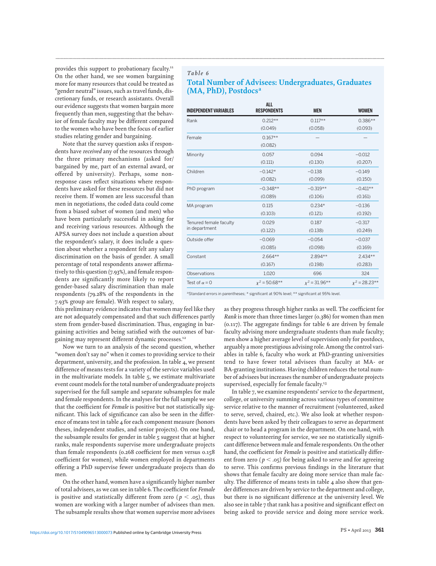provides this support to probationary faculty.<sup>11</sup> On the other hand, we see women bargaining more for many resources that could be treated as "gender neutral" issues, such as travel funds, discretionary funds, or research assistants. Overall our evidence suggests that women bargain more frequently than men, suggesting that the behavior of female faculty may be different compared to the women who have been the focus of earlier studies relating gender and bargaining.

Note that the survey question asks if respondents have *received* any of the resources through the three primary mechanisms (asked for/ bargained by me, part of an external award, or offered by university). Perhaps, some nonresponse cases reflect situations where respondents have asked for these resources but did not receive them. If women are less successful than men in negotiations, the coded data could come from a biased subset of women (and men) who have been particularly successful in asking for and receiving various resources. Although the APSA survey does not include a question about the respondent's salary, it does include a question about whether a respondent felt any salary discrimination on the basis of gender. A small percentage of total respondents answer affirmatively to this question (7.93%), and female respondents are significantly more likely to report gender-based salary discrimination than male respondents (79.28% of the respondents in the 7.93% group are female). With respect to salary,

this preliminary evidence indicates that women may feel like they are not adequately compensated and that such differences partly stem from gender-based discrimination. Thus, engaging in bargaining activities and being satisfied with the outcomes of bargaining may represent different dynamic processes.12

Now we turn to an analysis of the second question, whether "women don't say no" when it comes to providing service to their department, university, and the profession. In table 4, we present difference of means tests for a variety of the service variables used in the multivariate models. In table 5, we estimate multivariate event count models for the total number of undergraduate projects supervised for the full sample and separate subsamples for male and female respondents. In the analyses for the full sample we see that the coefficient for *Female* is positive but not statistically significant. This lack of significance can also be seen in the difference of means test in table 4 for each component measure (honors theses, independent studies, and senior projects). On one hand, the subsample results for gender in table 5 suggest that at higher ranks, male respondents supervise more undergraduate projects than female respondents (0.268 coefficient for men versus 0.158 coefficient for women), while women employed in departments offering a PhD supervise fewer undergraduate projects than do men.

On the other hand, women have a significantly higher number of total advisees, as we can see in table 6. The coefficient for *Female* is positive and statistically different from zero ( $p < .05$ ), thus women are working with a larger number of advisees than men. The subsample results show that women supervise more advisees

## *Table 6* **Total Number of Advisees: Undergraduates, Graduates (MA, PhD), Postdocs<sup>a</sup>**

**.............................................................................................................................................................................................................................................................**

| <b>INDEPENDENT VARIABLES</b> | <b>ALL</b><br><b>RESPONDENTS</b> | <b>MEN</b>      | <b>WOMEN</b>    |
|------------------------------|----------------------------------|-----------------|-----------------|
| Rank                         | $0.212**$                        | $0.117**$       | $0.386**$       |
|                              | (0.049)                          | (0.058)         | (0.093)         |
| Female                       | $0.167**$                        |                 |                 |
|                              | (0.082)                          |                 |                 |
| Minority                     | 0.057                            | 0.094           | $-0.012$        |
|                              | (0.111)                          | (0.130)         | (0.207)         |
| Children                     | $-0.142*$                        | $-0.138$        | $-0.149$        |
|                              | (0.082)                          | (0.099)         | (0.150)         |
| PhD program                  | $-0.348**$                       | $-0.319**$      | $-0.411**$      |
|                              | (0.089)                          | (0.106)         | (0.161)         |
| MA program                   | 0.115                            | $0.234*$        | $-0.136$        |
|                              | (0.103)                          | (0.121)         | (0.192)         |
| Tenured female faculty       | 0.029                            | 0.187           | $-0.317$        |
| in department                | (0.122)                          | (0.138)         | (0.249)         |
| Outside offer                | $-0.069$                         | $-0.054$        | $-0.037$        |
|                              | (0.085)                          | (0.098)         | (0.169)         |
| Constant                     | $2.664**$                        | 2.894**         | $2.434**$       |
|                              | (0.167)                          | (0.198)         | (0.283)         |
| Observations                 | 1,020                            | 696             | 324             |
| Test of $\alpha = 0$         | $x^2$ = 50.68**                  | $x^2$ = 31.96** | $x^2$ = 28.23** |

<sup>a</sup>Standard errors in parentheses; \* significant at 90% level; \*\* significant at 95% level.

as they progress through higher ranks as well. The coefficient for *Rank* is more than three times larger (0.386) for women than men (0.117). The aggregate findings for table 6 are driven by female faculty advising more undergraduate students than male faculty; men show a higher average level of supervision only for postdocs, arguably a more prestigious advising role. Among the control variables in table 6, faculty who work at PhD-granting universities tend to have fewer total advisees than faculty at MA- or BA-granting institutions. Having children reduces the total number of advisees but increases the number of undergraduate projects supervised, especially for female faculty.<sup>13</sup>

In table 7, we examine respondents' service to the department, college, or university summing across various types of committee service relative to the manner of recruitment (volunteered, asked to serve, served, chaired, etc.). We also look at whether respondents have been asked by their colleagues to serve as department chair or to head a program in the department. On one hand, with respect to volunteering for service, we see no statistically significant difference between male and female respondents. On the other hand, the coefficient for *Female* is positive and statistically different from zero ( $p < .05$ ) for being asked to serve and for agreeing to serve. This confirms previous findings in the literature that shows that female faculty are doing more service than male faculty. The difference of means tests in table 4 also show that gender differences are driven by service to the department and college, but there is no significant difference at the university level. We also see in table 7 that rank has a positive and significant effect on being asked to provide service and doing more service work.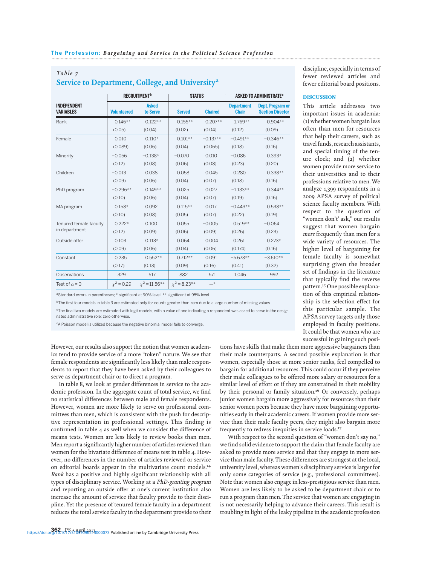## *Table 7* **Service to Department, College, and University<sup>a</sup>**

|                                        | <b>RECRUITMENT<sup>b</sup></b> |                          | <b>STATUS</b>   |                | <b>ASKED TO ADMINISTRATE<sup>c</sup></b> |                                             |
|----------------------------------------|--------------------------------|--------------------------|-----------------|----------------|------------------------------------------|---------------------------------------------|
| <b>INDEPENDENT</b><br><b>VARIABLES</b> | <b>Volunteered</b>             | <b>Asked</b><br>to Serve | <b>Served</b>   | <b>Chaired</b> | <b>Department</b><br><b>Chair</b>        | Dept. Program or<br><b>Section Director</b> |
| Rank                                   | $0.146**$                      | $0.122**$                | $0.155***$      | $0.207**$      | $1.769**$                                | $0.904**$                                   |
|                                        | (0.05)                         | (0.04)                   | (0.02)          | (0.04)         | (0.12)                                   | (0.09)                                      |
| Female                                 | 0.010                          | $0.110*$                 | $0.101**$       | $-0.137**$     | $-0.491**$                               | $-0.346**$                                  |
|                                        | (0.089)                        | (0.06)                   | (0.04)          | (0.065)        | (0.18)                                   | (0.16)                                      |
| Minority                               | $-0.056$                       | $-0.138*$                | $-0.070$        | 0.010          | $-0.086$                                 | $0.393*$                                    |
|                                        | (0.12)                         | (0.08)                   | (0.06)          | (0.08)         | (0.23)                                   | (0.20)                                      |
| Children                               | $-0.013$                       | 0.038                    | 0.058           | 0.045          | 0.280                                    | $0.338**$                                   |
|                                        | (0.09)                         | (0.06)                   | (0.04)          | (0.07)         | (0.18)                                   | (0.16)                                      |
| PhD program                            | $-0.296**$                     | $0.149**$                | 0.025           | 0.027          | $-1.133**$                               | $0.344**$                                   |
|                                        | (0.10)                         | (0.06)                   | (0.04)          | (0.07)         | (0.19)                                   | (0.16)                                      |
| MA program                             | $0.158*$                       | 0.092                    | $0.115***$      | 0.017          | $-0.443**$                               | $0.538**$                                   |
|                                        | (0.10)                         | (0.08)                   | (0.05)          | (0.07)         | (0.22)                                   | (0.19)                                      |
| Tenured female faculty                 | $0.222*$                       | 0.100                    | 0.055           | $-0.005$       | $0.519**$                                | $-0.064$                                    |
| in department                          | (0.12)                         | (0.09)                   | (0.06)          | (0.09)         | (0.26)                                   | (0.23)                                      |
| Outside offer                          | 0.103                          | $0.113*$                 | 0.064           | 0.004          | 0.261                                    | $0.273*$                                    |
|                                        | (0.09)                         | (0.06)                   | (0.04)          | (0.06)         | (0.174)                                  | (0.16)                                      |
| Constant                               | 0.235                          | $0.552**$                | $0.712**$       | 0.091          | $-5.673**$                               | $-3.610**$                                  |
|                                        | (0.17)                         | (0.13)                   | (0.09)          | (0.16)         | (0.41)                                   | (0.32)                                      |
| Observations                           | 329                            | 517                      | 882             | 571            | 1,046                                    | 992                                         |
| Test of $\alpha = 0$                   | $x^2$ = 0.29                   | $x^2 = 11.56$ **         | $x^2 = 8.23***$ | $-d$           |                                          |                                             |

aStandard errors in parentheses; \* significant at 90% level; \*\* significant at 95% level.

bThe first four models in table 3 are estimated only for counts greater than zero due to a large number of missing values.

cThe final two models are estimated with logit models, with a value of one indicating a respondent was asked to serve in the designated administrative role; zero otherwise.

<sup>d</sup>A Poisson model is utilized because the negative binomial model fails to converge.

However, our results also support the notion that women academics tend to provide service of a more "token" nature. We see that female respondents are significantly less likely than male respondents to report that they have been asked by their colleagues to serve as department chair or to direct a program.

In table 8, we look at gender differences in service to the academic profession. In the aggregate count of total service, we find no statistical differences between male and female respondents. However, women are more likely to serve on professional committees than men, which is consistent with the push for descriptive representation in professional settings. This finding is confirmed in table 4 as well when we consider the difference of means tests. Women are less likely to review books than men. Men report a significantly higher number of articles reviewed than women for the bivariate difference of means test in table 4. However, no differences in the number of articles reviewed or service on editorial boards appear in the multivariate count models.14 *Rank* has a positive and highly significant relationship with all types of disciplinary service. Working at a *PhD-granting program* and reporting an outside offer at one's current institution also increase the amount of service that faculty provide to their discipline. Yet the presence of tenured female faculty in a department reduces the total service faculty in the department provide to their

discipline, especially in terms of fewer reviewed articles and fewer editorial board positions.

#### DISCUSSION

This article addresses two important issues in academia: (1) whether women bargain less often than men for resources that help their careers, such as travel funds, research assistants, and special timing of the tenure clock; and (2) whether women provide more service to their universities and to their professions relative to men.We analyze 1,399 respondents in a 2009 APSA survey of political science faculty members. With respect to the question of "women don't' ask," our results suggest that women bargain *more* frequently than men for a wide variety of resources. The higher level of bargaining for female faculty is somewhat surprising given the broader set of findings in the literature that typically find the reverse pattern.15 One possible explanation of this empirical relationship is the selection effect for this particular sample. The APSA survey targets only those employed in faculty positions. It could be that women who are successful in gaining such posi-

tions have skills that make them more aggressive bargainers than their male counterparts. A second possible explanation is that women, especially those at more senior ranks, feel compelled to bargain for additional resources. This could occur if they perceive their male colleagues to be offered more salary or resources for a similar level of effort or if they are constrained in their mobility by their personal or family situation.<sup>16</sup> Or conversely, perhaps junior women bargain more aggressively for resources than their senior women peers because they have more bargaining opportunities early in their academic careers. If women provide more service than their male faculty peers, they might also bargain more frequently to redress inequities in service loads.17

With respect to the second question of "women don't say no," we find solid evidence to support the claim that female faculty are asked to provide more service and that they engage in more service than male faculty. These differences are strongest at the local, university level, whereas women's disciplinary service is larger for only some categories of service (e.g., professional committees). Note that women also engage in less-prestigious service than men. Women are less likely to be asked to be department chair or to run a program than men. The service that women are engaging in is not necessarily helping to advance their careers. This result is troubling in light of the leaky pipeline in the academic profession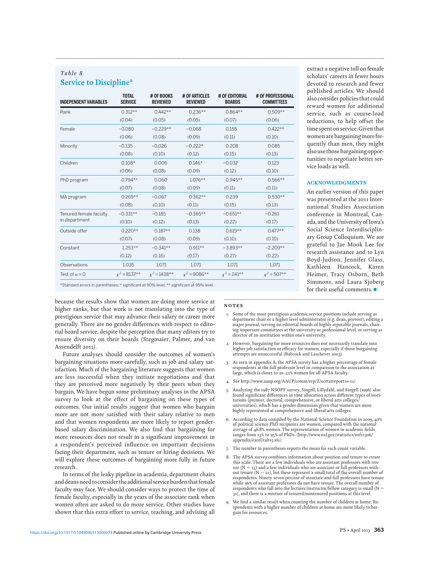## *Table 8* **Service to Discipline<sup>a</sup>**

| <b>INDEPENDENT VARIABLES</b> | <b>TOTAL</b><br><b>SERVICE</b> | # OF BOOKS<br><b>REVIEWED</b> | # OF ARTICLES<br><b>REVIEWED</b> | # OF EDITORIAL<br><b>BOARDS</b> | # OF PROFESSIONAL<br><b>COMMITTEES</b> |
|------------------------------|--------------------------------|-------------------------------|----------------------------------|---------------------------------|----------------------------------------|
| Rank                         | $0.312**$                      | $0.442**$                     | $0.236**$                        | $0.864**$                       | $0.509**$                              |
|                              | (0.04)                         | (0.05)                        | (0.05)                           | (0.07)                          | (0.06)                                 |
| Female                       | $-0.080$                       | $-0.229**$                    | $-0.068$                         | 0.155                           | $0.422**$                              |
|                              | (0.06)                         | (0.08)                        | (0.09)                           | (0.11)                          | (0.10)                                 |
| Minority                     | $-0.135$                       | $-0.026$                      | $-0.222*$                        | 0.208                           | 0.085                                  |
|                              | (0.08)                         | (0.10)                        | (0.12)                           | (0.15)                          | (0.13)                                 |
| Children                     | $0.108*$                       | 0.006                         | $0.146*$                         | $-0.032$                        | 0.123                                  |
|                              | (0.06)                         | (0.08)                        | (0.09)                           | (0.12)                          | (0.10)                                 |
| PhD program                  | $0.794**$                      | 0.060                         | $1.076**$                        | $0.945**$                       | $0.566**$                              |
|                              | (0.07)                         | (0.08)                        | (0.09)                           | (0.11)                          | (0.11)                                 |
| MA program                   | $0.269**$                      | $-0.067$                      | $0.362**$                        | 0.239                           | $0.530**$                              |
|                              | (0.08)                         | (0.10)                        | (0.11)                           | (0.15)                          | (0.13)                                 |
| Tenured female faculty       | $-0.331**$                     | $-0.185$                      | $-0.365**$                       | $-0.651**$                      | $-0.261$                               |
| in department                | (0.10)                         | (0.12)                        | (0.13)                           | (0.22)                          | (0.17)                                 |
| Outside offer                | $0.220**$                      | $0.187**$                     | 0.138                            | $0.619**$                       | $0.477**$                              |
|                              | (0.07)                         | (0.08)                        | (0.09)                           | (0.10)                          | (0.10)                                 |
| Constant                     | $1.253**$                      | $-0.341**$                    | $0.911**$                        | $-3.893**$                      | $-2.209**$                             |
|                              | (0.12)                         | (0.16)                        | (0.17)                           | (0.27)                          | (0.22)                                 |
| Observations                 | 1,035                          | 1,071                         | 1,071                            | 1,071                           | 1,071                                  |
| Test of $\alpha = 0$         | $x^2 = 8137**$                 | $x^2 = 1438$ **               | $x^2 = 9086$ **                  | $x^2 = 241$ **                  | $x^2 = 507**$                          |

extract a negative toll on female scholars' careers in fewer hours devoted to research and fewer published articles. We should also consider policies that could reward women for additional service, such as course-load reductions, to help offset the time spent on service.Given that women are bargainingmore frequently than men, they might also use those bargaining opportunities to negotiate better service loads as well.

#### ACKNOWLEDGMENTS

An earlier version of this paper was presented at the 2011 International Studies Association conference in Montreal, Canada, and the University of Iowa's Social Science Interdisciplinary Group Colloquium. We are grateful to Jae Mook Lee for research assistance and to Lyn Boyd-Judson, Jennifer Glass, Kathleen Hancock, Karen Heimer, Tracy Osborn, Beth Simmons, and Laura Sjoberg for their useful comments.  $\blacksquare$ 

<sup>a</sup>Standard errors in parentheses; \* significant at 90% level; \*\* significant at 95% level.

because the results show that women are doing more service at higher ranks, but that work is not translating into the type of prestigious service that may advance their salary or career more generally. There are no gender differences with respect to editorial board service, despite the perception that many editors try to ensure diversity on their boards (Stegmaier, Palmer, and van Assendelft 2011).

Future analyses should consider the outcomes of women's bargaining situations more carefully, such as job and salary satisfaction. Much of the bargaining literature suggests that women are less successful when they initiate negotiations and that they are perceived more negatively by their peers when they bargain. We have begun some preliminary analyses in the APSA survey to look at the effect of bargaining on these types of outcomes. Our initial results suggest that women who bargain more are not more satisfied with their salary relative to men and that women respondents are more likely to report genderbased salary discrimination. We also find that bargaining for more resources does not result in a significant improvement in a respondent's perceived influence on important decisions facing their department, such as tenure or hiring decisions. We will explore these outcomes of bargaining more fully in future research.

In terms of the leaky pipeline in academia, department chairs and deans need to consider the additional service burden that female faculty may face. We should consider ways to protect the time of female faculty, especially in the years of the associate rank when women often are asked to do more service. Other studies have shown that this extra effort to service, teaching, and advising all

#### NOTES

**.............................................................................................................................................................................................................................................................**

- Some of the most prestigious academic service positions include serving as department chair or a higher level administrator (e.g. dean, provost), editing a major journal, serving on editorial boards of highly reputable journals, chairing important committees at the university or professional level, or serving as director of an institution within one's university.
- 2. However, bargaining for more resources does not necessarily translate into higher job satisfaction or efficacy for women, especially if those bargaining attempts are unsuccessful (Babcock and Laschever 2003).
- 3. As seen in appendix A, the APSA survey has a higher percentage of female respondents at the full professor level in comparison to the association at large, which is closer to 20–21% women for all APSA faculty.
- 4. See http://www.aaup.org/AAUP/comm/rep/Z/ecstatreport10-11/.
- 5. Analyzing the 1987 NSOPF survey, Singell, Lillydahl, and Singell (1996) also found significant differences in time allocation across different types of institutions (premier, doctoral, comprehensive, or liberal arts colleges/ universities), which has a gender dimension given that women are more highly represented at comprehensive and liberal arts colleges.
- 6. According to data compiled by the National Science Foundation in 2009, 40% of political science PhD recipients are women, compared with the national average of 46.8% women. The representation of women in academic fields ranges from 13% to 95% of PhDs. ^http://www.nsf.gov/statistics/nsf11306/ appendix/excel/tab15.xls).
- 7. The number in parentheses reports the mean for each count variable.
- 8. The APSA survey combines information about position and tenure to create this scale. There are a few individuals who are assistant professors with tenure ( $N = 15$ ) and a few individuals who are associate or full professors without tenure ( $N = 21$ ), but these represent a small total of the overall number of respondents. Ninety seven percent of associate and full professors have tenure while 96% of assistant professors do not have tenure. The overall number of respondents who fall into the lecturer/instructor/fellow category is small (N = 31), and there is a mixture of tenured/nontenured positions at this level.
- 9. We find a similar result when counting the number of children at home. Respondents with a higher number of children at home are more likely to bargain for resources.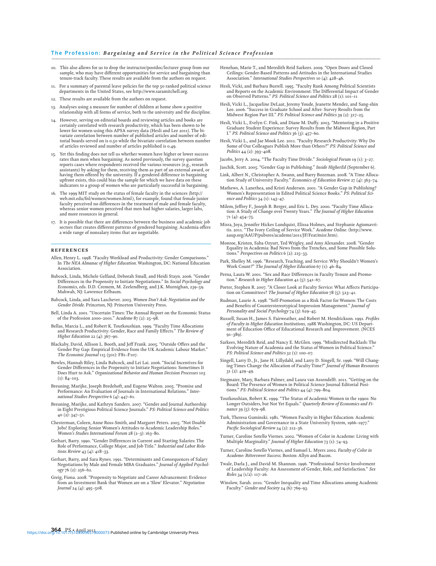- 10. This also allows for us to drop the instructor/postdoc/lecturer group from our sample, who may have different opportunities for service and bargaining than tenure-track faculty. These results are available from the authors on request.
- 11. For a summary of parental leave policies for the top 50 ranked political science departments in the United States, see http://www.saramitchell.org.
- 12. These results are available from the authors on request.
- 13. Analyses using a measure for number of children at home show a positive relationship with all forms of service, both to the university and the discipline.
- 14. However, serving on editorial boards and reviewing articles and books are certainly correlated with research productivity, which has been shown to be lower for women using this APSA survey data (Hesli and Lee 2011). The bivariate correlation between number of published articles and number of edi-torial boards served on is 0.50 while the bivariate correlation between number of articles reviewed and number of articles published is 0.49.
- 15. Yet this finding does not tell us whether women have higher or lower success rates than men when bargaining. As noted previously, the survey question reports cases where respondents received the various resources (e.g., research assistants) by asking for them, receiving them as part of an external award, or having them offered by the university. If a gendered difference in bargaining upfront exists, this could bias the sample for which we have data on these indicators to a group of women who are particularly successful in bargaining.
- 16. The 1999 MIT study on the status of female faculty in the sciences (http:// web.mit.edu/fnl/women/women.html ), for example, found that female junior faculty perceived no differences in the treatment of male and female faculty, whereas senior women perceived that men had higher salaries, larger labs, and more resources in general.
- 17. It is possible that there are differences between the business and academic job sectors that creates different patterns of gendered bargaining. Academia offers a wide range of nonsalary items that are negotiable.

#### REFERENCES

- Allen, Henry L. 1998. "Faculty Workload and Productivity: Gender Comparisons." In *The NEA Almanac of Higher Education*. Washington, DC: National Education Association.
- Babcock, Linda, Michele Gelfand, Deborah Small, and Heidi Stayn. 2006. "Gender Differences in the Propensity to Initiate Negotiations." In *Social Psychology and Economics*, eds. D.D. Cremem, M. Zeelendberg, and J.K. Murnighan, 239–59. Mahwah, NJ: Lawrence Erlbaum.
- Babcock, Linda, and Sara Laschever. 2003. *Women Don't Ask: Negotiation and the Gender Divide*. Princeton, NJ: Princeton University Press.
- Bell, Linda A. 2001. "Uncertain Times: The Annual Report on the Economic Status of the Profession 2000–2001." *Academe* 87 (2): 25–98.
- Bellas, Marcia L., and Robert K. Toutkoushian. 1999. "Faculty Time Allocations and Research Productivity: Gender, Race and Family Effects." *The Review of Higher Education* 22 (4): 367–90.
- Blackaby, David, Allison L. Booth, and Jeff Frank. 2005. "Outside Offers and the Gender Pay Gap: Empirical Evidence from the UK Academic Labour Market." *The Economic Journal* 115 (501): F81–F107.
- Bowles, Hannah Riley, Linda Babcock, and Lei Lai. 2006. "Social Incentives for Gender Differences in the Propensity to Initiate Negotiations: Sometimes It Does Hurt to Ask." *Organizational Behavior and Human Decision Processes* 103 (1): 84–103.
- Breuning, Marijke, Joseph Bredehoft, and Eugene Walton. 2005. "Promise and Performance: An Evaluation of Journals in International Relations." *International Studies Perspective* 6 (4): 447–61.
- Breuning, Marijke, and Kathryn Sanders. 2007. "Gender and Journal Authorship in Eight Prestigious Political Science Journals." *PS: Political Science and Politics* 40 (2): 347–51.
- Chesterman, Coleen, Anne Ross-Smith, and Margaret Peters. 2005. "Not Doable Jobs! Exploring Senior Women's Attitudes to Academic Leadership Roles." *Women's Studies International Forum* 28 (2–3): 163–80.
- Gerhart, Barry. 1990. "Gender Differences in Current and Starting Salaries: The Role of Performance, College Major, and Job Title." *Industrial and Labor Relations Review* 43 (4): 418–33.
- Gerhart, Barry, and Sara Rynes. 1991. "Determinants and Consequences of Salary Negotiations by Male and Female MBA Graduates." *Journal of Applied Psychology* 76 (2): 256–62.
- Greig, Fiona. 2008. "Propensity to Negotiate and Career Advancement: Evidence from an Investment Bank that Women are on a 'Slow' Elevator." *Negotiation Journal* 24 (4): 495–508.
- Henehan, Marie T., and Meredith Reid Sarkees. 2009. "Open Doors and Closed Ceilings: Gender-Based Patterns and Attitudes in the International Studies Association." *International Studies Perspectives* 10 (4): 428–46.
- Hesli, Vicki, and Barbara Burrell. 1995. "Faculty Rank Among Political Scientists and Reports on the Academic Environment: The Differential Impact of Gender on Observed Patterns." *PS: Political Science and Politics* 28 (1): 101–11
- Hesli, Vicki L., Jacqueline DeLaat, Jeremy Youde, Jeanette Mendez, and Sang-shin Lee. 2006. "Success in Graduate School and After: Survey Results from the Midwest Region Part III." *PS: Political Science and Politics* 39 (2): 317–25.
- Hesli, Vicki L., Evelyn C. Fink, and Diane M. Duffy. 2003. "Mentoring in a Positive Graduate Student Experience: Survey Results from the Midwest Region, Part I." *PS: Political Science and Politics* 36 (3): 457–60.
- Hesli, Vicki L., and Jae Mook Lee. 2011. "Faculty Research Productivity: Why Do Some of Our Colleagues Publish More than Others?" *PS: Political Science and Politics* 44 (2): 393–408.
- Jacobs, Jerry A. 2004. "The Faculty Time Divide." *Sociological Forum* 19 (1): 3–27.
- Jaschik, Scott. 2005. "Gender Gap in Publishing." *Inside HigherEd* (September 6).
- Link, Albert N., Christopher A. Swann, and Barry Bozeman. 2008. "A Time Allocation Study of University Faculty." *Economics of Education Review* 27 (4): 363–74.
- Mathews, A. Lanethea, and Kristi Andersen. 2001. "A Gender Gap in Publishing? Women's Representation in Edited Political Science Books." *PS: Political Science and Politics* 34 (1): 143–47.
- Milem, Jeffrey F., Joseph B. Berger, and Eric L. Dey. 2000. "Faculty Time Allocation: A Study of Change over Twenty Years." *The Journal of Higher Education* 71 (4): 454–75.
- Misra, Joya, Jennifer Hickes Lundquist, Elissa Holmes, and Stephanie Agiomavritis. 2011. "The Ivory Ceiling of Service Work." *Academe Online*. (http://www. aaup.org/AAUP/pubsres/academe/2011/JF/Feat/misr.htm).
- Monroe, Kristen, Saba Ozyurt, Ted Wrigley, and Amy Alexander. 2008. "Gender Equality in Academia: Bad News from the Trenches, and Some Possible Solutions." *Perspectives on Politics* 6 (2): 215–33.
- Park, Shelley M. 1996. "Research, Teaching, and Service: Why Shouldn't Women's Work Count?" *The Journal of Higher Education* 67 (1): 46–84.
- Perna, Laura W. 2001. "Sex and Race Differences in Faculty Tenure and Promotion." *Research in Higher Education* 42 (5): 541–67.
- Porter, Stephen R. 2007. "A Closer Look at Faculty Service: What Affects Participation on Committees? *The Journal of Higher Education* 78 (5): 523–41.
- Rudman, Laurie A. 1998. "Self-Promotion as a Risk Factor for Women: The Costs and Benefits of Counterstereotypical Impression Management." *Journal of Personality and Social Psychology* 74 (3): 629–45.
- Russell, Susan H., James S. Fairweather, and Robert M. Hendrickson. 1991. *Profiles of Faculty in Higher Education Institutions, 1988*. Washington, DC: US Department of Education Office of Educational Research and Improvement. (NCES 91–389).
- Sarkees, Meredith Reid, and Nancy E. McGlen. 1999. "Misdirected Backlash: The Evolving Nature of Academia and the Status of Women in Political Science." *PS: Political Science and Politics* 32 (1): 100–07.
- Singell, Larry D., Jr., Jane H. Lillydahl, and Larry D. Singell, Sr. 1996. "Will Chang-ing Times Change the Allocation of Faculty Time?" *Journal of Human Resources* 31 (2): 429–49.
- Stegmaier, Mary, Barbara Palmer, and Laura van Assendelft. 2011. "Getting on the Board: The Presence of Women in Political Science Journal Editorial Positions." *PS: Political Science and Politics* 44 (4): 799–804.
- Toutkoushian, Robert K. 1999. "The Status of Academic Women in the 1990s: No Longer Outsiders, but Not Yet Equals." *Quarterly Review of Economics and Finance* 39 (5): 679–98.
- Turk, Theresa Guminski. 1981. "Women Faculty in Higher Education: Academic Administration and Governance in a State University System, 1966–1977." *Pacific Sociological Review* 24 (2): 212–36.
- Turner, Caroline Sotello Viernes. 2002. "Women of Color in Academe: Living with Multiple Marginality." *Journal of Higher Education* 73 (1): 74–93.
- Turner, Caroline Sotello Viernes, and Samuel L. Myers 2002. *Faculty of Color in Academe: Bittersweet Success*. Boston: Allyn and Bacon.
- Twale, Darla J., and David M. Shannon. 1996. "Professional Service Involvement of Leadership Faculty: An Assessment of Gender, Role, and Satisfaction." *Sex Roles* 34 (1/2): 117–26.
- Winslow, Sarah. 2010. "Gender Inequality and Time Allocations among Academic Faculty." *Gender and Society* 24 (6): 769–93.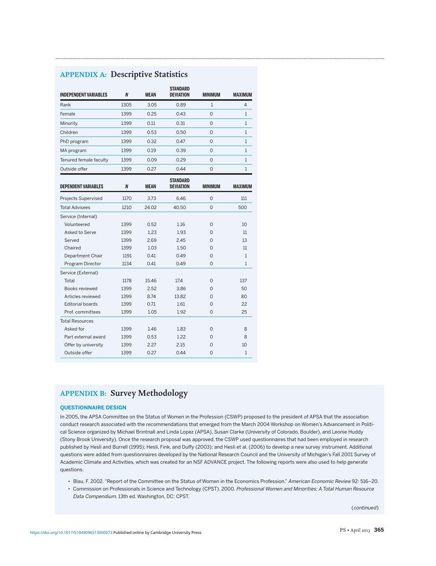# **APPENDIX A: Descriptive Statistics**

| <b>INDEPENDENT VARIABLES</b> | N    | <b>MEAN</b> | <b>STANDARD</b><br><b>DEVIATION</b> | <b>MINIMUM</b> | <b>MAXIMUM</b> |
|------------------------------|------|-------------|-------------------------------------|----------------|----------------|
| Rank                         | 1305 | 3.05        | 0.89                                | 1              | 4              |
| Female                       | 1399 | 0.25        | 0.43                                | $\Omega$       | 1              |
| Minority                     | 1399 | 0.11        | 0.31                                | $\Omega$       | $\mathbf{1}$   |
| Children                     | 1399 | 0.53        | 0.50                                | $\Omega$       | $\mathbf{1}$   |
| PhD program                  | 1399 | 0.32        | 0.47                                | 0              | $\mathbf{1}$   |
| MA program                   | 1399 | 0.19        | 0.39                                | 0              | $\mathbf{1}$   |
| Tenured female faculty       | 1399 | 0.09        | 0.29                                | 0              | 1              |
| Outside offer                | 1399 | 0.27        | 0.44                                | 0              | 1              |
| <b>DEPENDENT VARIABLES</b>   | N    | <b>MEAN</b> | <b>STANDARD</b><br><b>DEVIATION</b> | <b>MINIMUM</b> | <b>MAXIMUM</b> |
| <b>Projects Supervised</b>   | 1170 | 3.73        | 6.46                                | $\Omega$       | 111            |
| <b>Total Advisees</b>        | 1210 | 24.02       | 40.50                               | $\Omega$       | 500            |
| Service (Internal)           |      |             |                                     |                |                |
| Volunteered                  | 1399 | 0.52        | 1.16                                | $\Omega$       | 10             |
| Asked to Serve               | 1399 | 1.23        | 1.93                                | $\Omega$       | 11             |
| Served                       | 1399 | 2.69        | 2.45                                | $\Omega$       | 13             |
| Chaired                      | 1399 | 1.03        | 1.50                                | $\Omega$       | $11\,$         |
| Department Chair             | 1191 | 0.41        | 0.49                                | $\Omega$       | $\mathbf{1}$   |
| Program Director             | 1134 | 0.41        | 0.49                                | 0              | 1              |
| Service (External)           |      |             |                                     |                |                |
| Total                        | 1178 | 15.46       | 17.4                                | $\Omega$       | 137            |
| Books reviewed               | 1399 | 2.52        | 3.86                                | $\Omega$       | 50             |
| Articles reviewed            | 1399 | 8.74        | 13.82                               | $\Omega$       | 80             |
| <b>Editorial boards</b>      | 1399 | 0.71        | 1.61                                | $\Omega$       | 22             |
| Prof. committees             | 1399 | 1.05        | 1.92                                | $\Omega$       | 25             |
| <b>Total Resources</b>       |      |             |                                     |                |                |
| Asked for                    | 1399 | 1.46        | 1.83                                | $\Omega$       | 8              |
| Part external award          | 1399 | 0.53        | 1.22                                | $\Omega$       | 8              |
| Offer by university          | 1399 | 2.27        | 2.15                                | $\Omega$       | 10             |
| Outside offer                | 1399 | 0.27        | 0.44                                | 0              | 1              |

# **APPENDIX B: Survey Methodology**

#### **QUESTIONNAIRE DESIGN**

In 2005, the APSA Committee on the Status of Women in the Profession (CSWP) proposed to the president of APSA that the association conduct research associated with the recommendations that emerged from the March 2004 Workshop on Women's Advancement in Political Science organized by Michael Brintnall and Linda Lopez (APSA), Susan Clarke (University of Colorado, Boulder), and Leonie Huddy (Stony Brook University). Once the research proposal was approved, the CSWP used questionnaires that had been employed in research published by Hesli and Burrell (1995); Hesli, Fink, and Duffy (2003); and Hesli et al. (2006) to develop a new survey instrument. Additional questions were added from questionnaires developed by the National Research Council and the University of Michigan's Fall 2001 Survey of Academic Climate and Activities, which was created for an NSF ADVANCE project. The following reports were also used to help generate questions:

**.............................................................................................................................................................................................................................................................**

- Blau, F. 2002. "Report of the Committee on the Status of Women in the Economics Profession." American Economic Review 92: 516–20.
- Commission on Professionals in Science and Technology (CPST). 2000. Professional Women and Minorities: A Total Human Resource Data Compendium. 13th ed. Washington, DC: CPST.

(continued)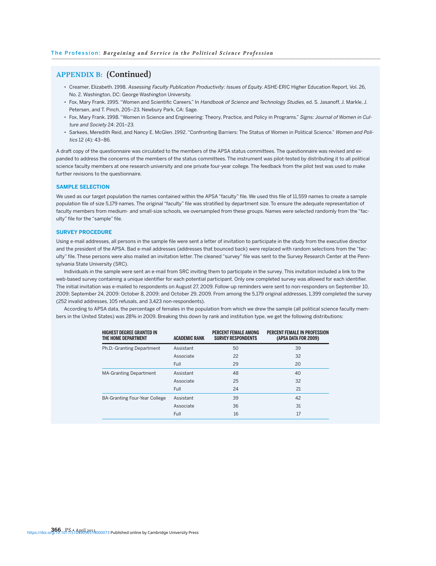## **APPENDIX B: (Continued)**

- Creamer, Elizabeth. 1998. Assessing Faculty Publication Productivity: Issues of Equity. ASHE-ERIC Higher Education Report, Vol. 26, No. 2. Washington, DC: George Washington University.
- Fox, Mary Frank. 1995. "Women and Scientific Careers." In Handbook of Science and Technology Studies, ed. S. Jasanoff, J. Markle, J. Petersen, and T. Pinch, 205–23. Newbury Park, CA: Sage.
- Fox, Mary Frank. 1998. "Women in Science and Engineering: Theory, Practice, and Policy in Programs." Signs: Journal of Women in Culture and Society 24: 201–23.
- Sarkees, Meredith Reid, and Nancy E. McGlen. 1992. "Confronting Barriers: The Status of Women in Political Science." Women and Politics 12 (4): 43–86.

A draft copy of the questionnaire was circulated to the members of the APSA status committees. The questionnaire was revised and expanded to address the concerns of the members of the status committees. The instrument was pilot-tested by distributing it to all political science faculty members at one research university and one private four-year college. The feedback from the pilot test was used to make further revisions to the questionnaire.

#### **SAMPLE SELECTION**

We used as our target population the names contained within the APSA "faculty" file. We used this file of 11,559 names to create a sample population file of size 5,179 names. The original "faculty" file was stratified by department size. To ensure the adequate representation of faculty members from medium- and small-size schools, we oversampled from these groups. Names were selected randomly from the "faculty" file for the "sample" file.

#### **SURVEY PROCEDURE**

Using e-mail addresses, all persons in the sample file were sent a letter of invitation to participate in the study from the executive director and the president of the APSA. Bad e-mail addresses (addresses that bounced back) were replaced with random selections from the "faculty" file. These persons were also mailed an invitation letter. The cleaned "survey" file was sent to the Survey Research Center at the Pennsylvania State University (SRC).

Individuals in the sample were sent an e-mail from SRC inviting them to participate in the survey. This invitation included a link to the web-based survey containing a unique identifier for each potential participant. Only one completed survey was allowed for each identifier. The initial invitation was e-mailed to respondents on August 27, 2009. Follow-up reminders were sent to non-responders on September 10, 2009; September 24, 2009: October 8, 2009; and October 29, 2009. From among the 5,179 original addresses, 1,399 completed the survey (252 invalid addresses, 105 refusals, and 3,423 non-respondents).

According to APSA data, the percentage of females in the population from which we drew the sample (all political science faculty members in the United States) was 28% in 2009. Breaking this down by rank and institution type, we get the following distributions:

| <b>HIGHEST DEGREE GRANTED IN</b><br>THE HOME DEPARTMENT | <b>ACADEMIC RANK</b> | <b>PERCENT FEMALE AMONG</b><br><b>SURVEY RESPONDENTS</b> | <b>PERCENT FEMALE IN PROFESSION</b><br>(APSA DATA FOR 2009) |
|---------------------------------------------------------|----------------------|----------------------------------------------------------|-------------------------------------------------------------|
| Ph.D.-Granting Department                               | Assistant            | 50                                                       | 39                                                          |
|                                                         | Associate            | 22                                                       | 32                                                          |
|                                                         | Full                 | 29                                                       | 20                                                          |
| <b>MA-Granting Department</b>                           | Assistant            | 48                                                       | 40                                                          |
|                                                         | Associate            | 25                                                       | 32                                                          |
|                                                         | <b>Full</b>          | 24                                                       | 21                                                          |
| <b>BA-Granting Four-Year College</b>                    | Assistant            | 39                                                       | 42                                                          |
|                                                         | Associate            | 36                                                       | 31                                                          |
|                                                         | Full                 | 16                                                       | 17                                                          |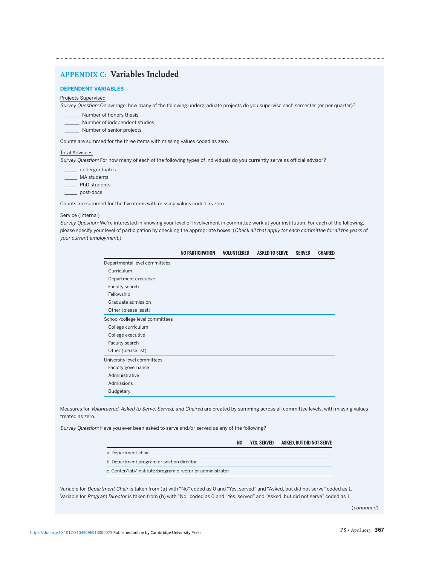# **APPENDIX C: Variables Included**

#### **DEPENDENT VARIABLES**

#### Projects Supervised

Survey Question: On average, how many of the following undergraduate projects do you supervise each semester (or per quarter)?

**.............................................................................................................................................................................................................................................................**

Number of honors thesis

\_\_\_\_\_\_ Number of independent studies

\_\_\_\_\_\_ Number of senior projects

Counts are summed for the three items with missing values coded as zero.

#### Total Advisees

Survey Question: For how many of each of the following types of individuals do you currently serve as official advisor?

\_\_\_\_\_ undergraduates

\_\_\_\_\_ MA students

\_\_\_\_\_ PhD students

\_\_\_\_\_ post-docs

Counts are summed for the five items with missing values coded as zero.

#### Service (Internal)

Survey Question: We're interested in knowing your level of involvement in committee work at your institution. For each of the following, please specify your level of participation by checking the appropriate boxes. (Check all that apply for each committee for all the years of your current employment.)

|                                 | <b>NO PARTICIPATION</b> | <b>VOLUNTEERED</b> | <b>ASKED TO SERVE</b> | <b>SERVED</b> | <b>CHAIRED</b> |
|---------------------------------|-------------------------|--------------------|-----------------------|---------------|----------------|
| Departmental level committees   |                         |                    |                       |               |                |
| Curriculum                      |                         |                    |                       |               |                |
| Department executive            |                         |                    |                       |               |                |
| Faculty search                  |                         |                    |                       |               |                |
| Fellowship                      |                         |                    |                       |               |                |
| Graduate admission              |                         |                    |                       |               |                |
| Other (please least)            |                         |                    |                       |               |                |
| School/college level committees |                         |                    |                       |               |                |
| College curriculum              |                         |                    |                       |               |                |
| College executive               |                         |                    |                       |               |                |
| Faculty search                  |                         |                    |                       |               |                |
| Other (please list)             |                         |                    |                       |               |                |
| University level committees     |                         |                    |                       |               |                |
| Faculty governance              |                         |                    |                       |               |                |
| Administrative                  |                         |                    |                       |               |                |
| Admissions                      |                         |                    |                       |               |                |
| <b>Budgetary</b>                |                         |                    |                       |               |                |

Measures for Volunteered, Asked to Serve, Served, and Chaired are created by summing across all committee levels, with missing values treated as zero.

Survey Question: Have you ever been asked to serve and/or served as any of the following?

|                                                           | NO. | <b>YES. SERVED</b> | ASKED. BUT DID NOT SERVE |
|-----------------------------------------------------------|-----|--------------------|--------------------------|
| a. Department chair                                       |     |                    |                          |
| b. Department program or section director                 |     |                    |                          |
| c. Center/lab/institute/program director or administrator |     |                    |                          |

Variable for Department Chair is taken from (a) with "No" coded as 0 and "Yes, served" and "Asked, but did not serve" coded as 1. Variable for Program Director is taken from (b) with "No" coded as 0 and "Yes, served" and "Asked, but did not serve" coded as 1.

(continued)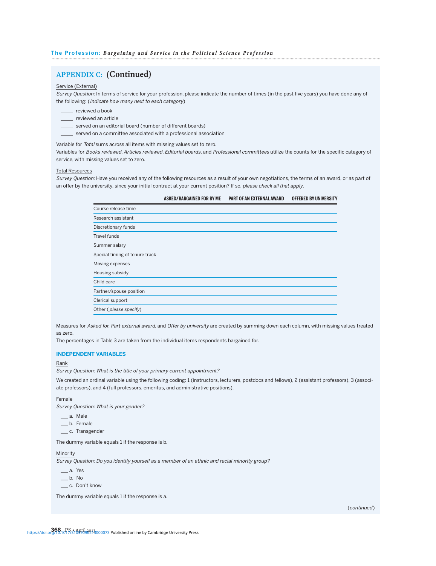# **APPENDIX C: (Continued)**

#### Service (External)

Survey Question: In terms of service for your profession, please indicate the number of times (in the past five years) you have done any of the following: (Indicate how many next to each category)

- \_\_\_\_\_ reviewed a book
- \_\_\_\_\_ reviewed an article
- \_\_\_\_\_ served on an editorial board (number of different boards)
- \_\_\_\_\_ served on a committee associated with a professional association

Variable for Total sums across all items with missing values set to zero.

Variables for Books reviewed, Articles reviewed, Editorial boards, and Professional committees utilize the counts for the specific category of service, with missing values set to zero.

#### Total Resources

Survey Question: Have you received any of the following resources as a result of your own negotiations, the terms of an award, or as part of an offer by the university, since your initial contract at your current position? If so, please check all that apply.

|                                | <b>ASKED/BARGAINED FOR BY ME</b> | <b>PART OF AN EXTERNAL AWARD</b> | <b>OFFERED BY UNIVERSITY</b> |
|--------------------------------|----------------------------------|----------------------------------|------------------------------|
| Course release time            |                                  |                                  |                              |
| Research assistant             |                                  |                                  |                              |
| Discretionary funds            |                                  |                                  |                              |
| <b>Travel funds</b>            |                                  |                                  |                              |
| Summer salary                  |                                  |                                  |                              |
| Special timing of tenure track |                                  |                                  |                              |
| Moving expenses                |                                  |                                  |                              |
| Housing subsidy                |                                  |                                  |                              |
| Child care                     |                                  |                                  |                              |
| Partner/spouse position        |                                  |                                  |                              |
| Clerical support               |                                  |                                  |                              |
| Other (please specify)         |                                  |                                  |                              |
|                                |                                  |                                  |                              |

Measures for Asked for, Part external award, and Offer by university are created by summing down each column, with missing values treated as zero.

The percentages in Table 3 are taken from the individual items respondents bargained for.

#### **INDEPENDENT VARIABLES**

#### Rank

Survey Question: What is the title of your primary current appointment?

We created an ordinal variable using the following coding: 1 (instructors, lecturers, postdocs and fellows), 2 (assistant professors), 3 (associate professors), and 4 (full professors, emeritus, and administrative positions).

#### Female

Survey Question: What is your gender?

- \_\_\_ a. Male
- \_\_\_ b. Female
- \_\_\_ c. Transgender

The dummy variable equals 1 if the response is b.

#### Minority

Survey Question: Do you identify yourself as <sup>a</sup> member of an ethnic and racial minority group?

- \_\_\_ a. Yes
- \_\_\_ b. No
- \_c. Don't know

The dummy variable equals 1 if the response is a.